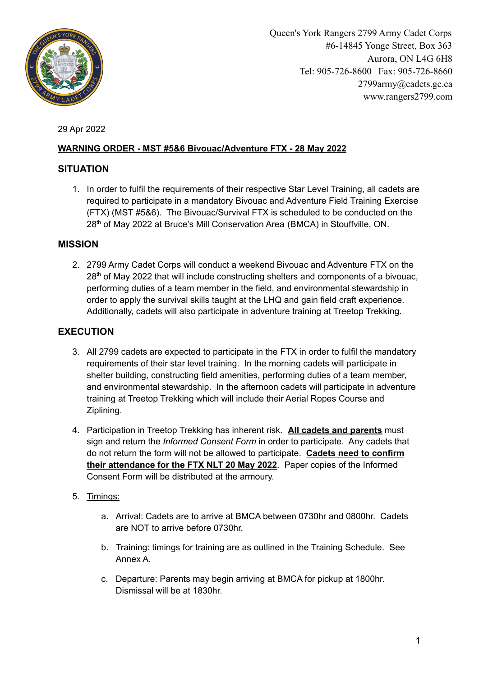

Queen's York Rangers 2799 Army Cadet Corps #6-14845 Yonge Street, Box 363 Aurora, ON L4G 6H8 Tel: 905-726-8600 | Fax: 905-726-8660 2799army@cadets.gc.ca www.rangers2799.com

29 Apr 2022

## **WARNING ORDER - MST #5&6 Bivouac/Adventure FTX - 28 May 2022**

## **SITUATION**

1. In order to fulfil the requirements of their respective Star Level Training, all cadets are required to participate in a mandatory Bivouac and Adventure Field Training Exercise (FTX) (MST #5&6). The Bivouac/Survival FTX is scheduled to be conducted on the 28<sup>th</sup> of May 2022 at Bruce's Mill Conservation Area (BMCA) in Stouffville, ON.

# **MISSION**

2. 2799 Army Cadet Corps will conduct a weekend Bivouac and Adventure FTX on the 28<sup>th</sup> of May 2022 that will include constructing shelters and components of a bivouac, performing duties of a team member in the field, and environmental stewardship in order to apply the survival skills taught at the LHQ and gain field craft experience. Additionally, cadets will also participate in adventure training at Treetop Trekking.

# **EXECUTION**

- 3. All 2799 cadets are expected to participate in the FTX in order to fulfil the mandatory requirements of their star level training. In the morning cadets will participate in shelter building, constructing field amenities, performing duties of a team member, and environmental stewardship. In the afternoon cadets will participate in adventure training at Treetop Trekking which will include their Aerial Ropes Course and Ziplining.
- 4. Participation in Treetop Trekking has inherent risk. **All cadets and parents** must sign and return the *Informed Consent Form* in order to participate. Any cadets that do not return the form will not be allowed to participate. **Cadets need to confirm their attendance for the FTX NLT 20 May 2022**. Paper copies of the Informed Consent Form will be distributed at the armoury.
- 5. Timings:
	- a. Arrival: Cadets are to arrive at BMCA between 0730hr and 0800hr. Cadets are NOT to arrive before 0730hr.
	- b. Training: timings for training are as outlined in the Training Schedule. See Annex A.
	- c. Departure: Parents may begin arriving at BMCA for pickup at 1800hr. Dismissal will be at 1830hr.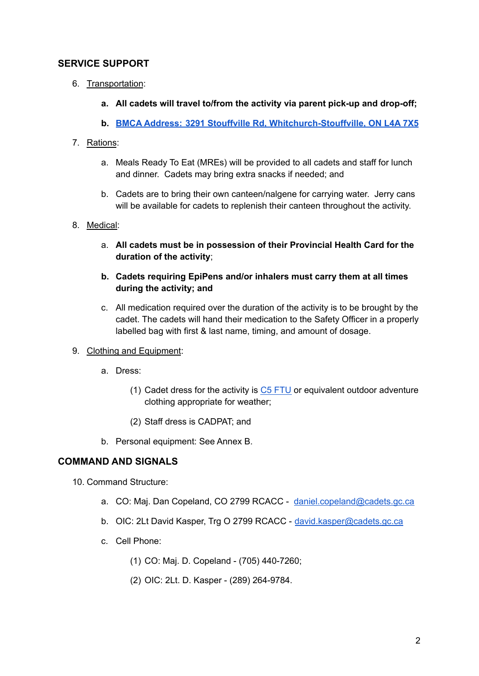### **SERVICE SUPPORT**

- 6. Transportation:
	- **a. All cadets will travel to/from the activity via parent pick-up and drop-off;**
	- **b. BMCA Address: 3291 Stouffville Rd, [Whitchurch-Stouffville,](https://www.google.com/maps/place/Bruce) ON L4A 7X5**

#### 7. Rations:

- a. Meals Ready To Eat (MREs) will be provided to all cadets and staff for lunch and dinner. Cadets may bring extra snacks if needed; and
- b. Cadets are to bring their own canteen/nalgene for carrying water. Jerry cans will be available for cadets to replenish their canteen throughout the activity.
- 8. Medical:
	- a. **All cadets must be in possession of their Provincial Health Card for the duration of the activity**;
	- **b. Cadets requiring EpiPens and/or inhalers must carry them at all times during the activity; and**
	- c. All medication required over the duration of the activity is to be brought by the cadet. The cadets will hand their medication to the Safety Officer in a properly labelled bag with first & last name, timing, and amount of dosage.
- 9. Clothing and Equipment:
	- a. Dress:
		- (1) Cadet dress for the activity is  $C5$  [FTU](http://www.rangers2799.com/uploads/3/9/1/2/39126089/orders_of_dress.pdf) or equivalent outdoor adventure clothing appropriate for weather;
		- (2) Staff dress is CADPAT; and
	- b. Personal equipment: See Annex B.

#### **COMMAND AND SIGNALS**

- 10. Command Structure:
	- a. CO: Maj. Dan Copeland, CO 2799 RCACC [daniel.copeland@cadets.gc.ca](mailto:daniel.copeland@cadets.gc.ca)
	- b. OIC: 2Lt David Kasper, Trg O 2799 RCACC [david.kasper@cadets.gc.ca](mailto:david.kasper@cadets.gc.ca)
	- c. Cell Phone:
		- (1) CO: Maj. D. Copeland (705) 440-7260;
		- (2) OIC: 2Lt. D. Kasper (289) 264-9784.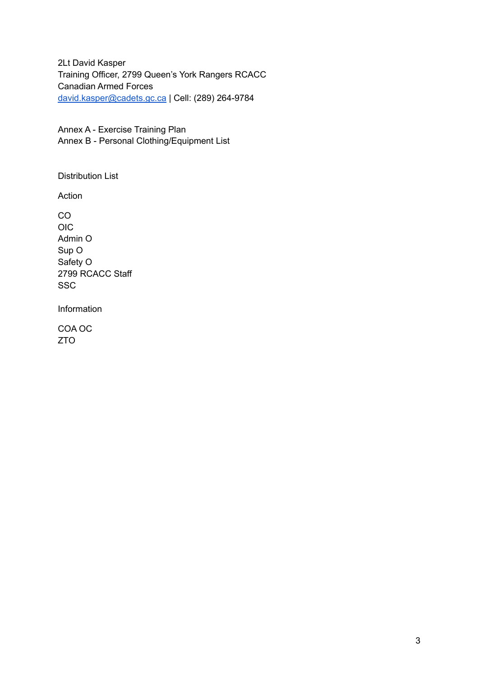2Lt David Kasper Training Officer, 2799 Queen's York Rangers RCACC Canadian Armed Forces [david.kasper@cadets.gc.ca](mailto:david.kasper@cadets.gc.ca) | Cell: (289) 264-9784

Annex A - Exercise Training Plan Annex B - Personal Clothing/Equipment List

Distribution List

Action

CO OIC Admin O Sup O Safety O 2799 RCACC Staff **SSC** 

Information

COA OC ZTO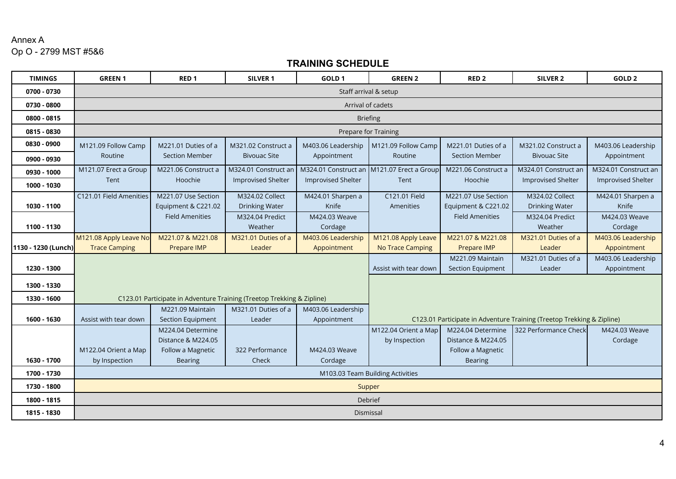## Annex A Op O - 2799 MST #5&6

# **TRAINING SCHEDULE**

| <b>TIMINGS</b>      | <b>GREEN1</b>                                                          | RED <sub>1</sub>       | <b>SILVER 1</b>           | GOLD <sub>1</sub>         | <b>GREEN 2</b>                                                         | RED <sub>2</sub>       | SILVER <sub>2</sub>       | GOLD <sub>2</sub>         |
|---------------------|------------------------------------------------------------------------|------------------------|---------------------------|---------------------------|------------------------------------------------------------------------|------------------------|---------------------------|---------------------------|
| 0700 - 0730         | Staff arrival & setup                                                  |                        |                           |                           |                                                                        |                        |                           |                           |
| 0730 - 0800         | Arrival of cadets                                                      |                        |                           |                           |                                                                        |                        |                           |                           |
| 0800 - 0815         | <b>Briefing</b>                                                        |                        |                           |                           |                                                                        |                        |                           |                           |
| 0815 - 0830         | Prepare for Training                                                   |                        |                           |                           |                                                                        |                        |                           |                           |
| 0830 - 0900         | M121.09 Follow Camp                                                    | M221.01 Duties of a    | M321.02 Construct a       | M403.06 Leadership        | M121.09 Follow Camp                                                    | M221.01 Duties of a    | M321.02 Construct a       | M403.06 Leadership        |
| 0900 - 0930         | Routine                                                                | <b>Section Member</b>  | <b>Bivouac Site</b>       | Appointment               | Routine                                                                | <b>Section Member</b>  | <b>Bivouac Site</b>       | Appointment               |
| 0930 - 1000         | M121.07 Erect a Group                                                  | M221.06 Construct a    | M324.01 Construct an      | M324.01 Construct an      | M121.07 Erect a Group                                                  | M221.06 Construct a    | M324.01 Construct an      | M324.01 Construct an      |
| 1000 - 1030         | Tent                                                                   | Hoochie                | <b>Improvised Shelter</b> | <b>Improvised Shelter</b> | Tent                                                                   | Hoochie                | <b>Improvised Shelter</b> | <b>Improvised Shelter</b> |
|                     | C121.01 Field Amenities                                                | M221.07 Use Section    | M324.02 Collect           | M424.01 Sharpen a         | C121.01 Field                                                          | M221.07 Use Section    | M324.02 Collect           | M424.01 Sharpen a         |
| 1030 - 1100         |                                                                        | Equipment & C221.02    | <b>Drinking Water</b>     | Knife                     | Amenities                                                              | Equipment & C221.02    | <b>Drinking Water</b>     | Knife                     |
|                     |                                                                        | <b>Field Amenities</b> | M324.04 Predict           | M424.03 Weave             |                                                                        | <b>Field Amenities</b> | M324.04 Predict           | M424.03 Weave             |
| 1100 - 1130         |                                                                        |                        | Weather                   | Cordage                   |                                                                        |                        | Weather                   | Cordage                   |
|                     | M121.08 Apply Leave No                                                 | M221.07 & M221.08      | M321.01 Duties of a       | M403.06 Leadership        | M121.08 Apply Leave                                                    | M221.07 & M221.08      | M321.01 Duties of a       | M403.06 Leadership        |
| 1130 - 1230 (Lunch) | <b>Trace Camping</b>                                                   | Prepare IMP            | Leader                    | Appointment               | <b>No Trace Camping</b>                                                | <b>Prepare IMP</b>     | Leader                    | Appointment               |
|                     |                                                                        |                        |                           |                           |                                                                        | M221.09 Maintain       | M321.01 Duties of a       | M403.06 Leadership        |
| 1230 - 1300         |                                                                        |                        |                           |                           | Assist with tear down                                                  | Section Equipment      | Leader                    | Appointment               |
| 1300 - 1330         |                                                                        |                        |                           |                           |                                                                        |                        |                           |                           |
| 1330 - 1600         | C123.01 Participate in Adventure Training (Treetop Trekking & Zipline) |                        |                           |                           |                                                                        |                        |                           |                           |
|                     |                                                                        | M221.09 Maintain       | M321.01 Duties of a       | M403.06 Leadership        |                                                                        |                        |                           |                           |
| 1600 - 1630         | Assist with tear down                                                  | Section Equipment      | Leader                    | Appointment               | C123.01 Participate in Adventure Training (Treetop Trekking & Zipline) |                        |                           |                           |
|                     |                                                                        | M224.04 Determine      |                           |                           | M122.04 Orient a Map                                                   | M224.04 Determine      | 322 Performance Check     | M424.03 Weave             |
|                     |                                                                        | Distance & M224.05     |                           |                           | by Inspection                                                          | Distance & M224.05     |                           | Cordage                   |
|                     | M122.04 Orient a Map                                                   | Follow a Magnetic      | 322 Performance           | M424.03 Weave             |                                                                        | Follow a Magnetic      |                           |                           |
| 1630 - 1700         | by Inspection                                                          | <b>Bearing</b>         | Check                     | Cordage                   |                                                                        | <b>Bearing</b>         |                           |                           |
| 1700 - 1730         | M103.03 Team Building Activities                                       |                        |                           |                           |                                                                        |                        |                           |                           |
| 1730 - 1800         | Supper                                                                 |                        |                           |                           |                                                                        |                        |                           |                           |
| 1800 - 1815         | Debrief                                                                |                        |                           |                           |                                                                        |                        |                           |                           |
| 1815 - 1830         | Dismissal                                                              |                        |                           |                           |                                                                        |                        |                           |                           |